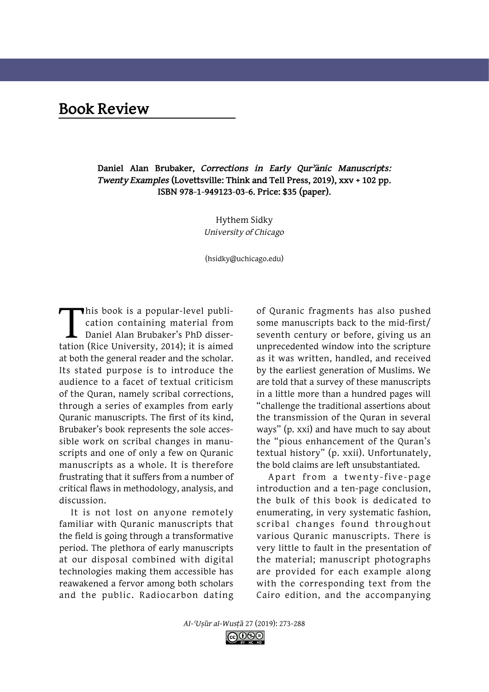## **Book Review**

## **Daniel Alan Brubaker,** *Corrections in Early Qurʾānic Manuscripts: Twenty Examples* **(Lovettsville: Think and Tell Press, 2019), xxv + 102 pp. ISBN 978-1-949123-03-6. Price: \$35 (paper).**

Hythem Sidky *University of Chicago*

([hsidky@uchicago.edu](mailto:hsidky%40uchicago.edu?subject=))

This book is a popular-level publi-<br>cation containing material from<br>Daniel Alan Brubaker's PhD disser-<br>tation (Rice University, 2014); it is aimed cation containing material from Daniel Alan Brubaker's PhD dissertation (Rice University, 2014); it is aimed at both the general reader and the scholar. Its stated purpose is to introduce the audience to a facet of textual criticism of the Quran, namely scribal corrections, through a series of examples from early Quranic manuscripts. The first of its kind, Brubaker's book represents the sole accessible work on scribal changes in manuscripts and one of only a few on Quranic manuscripts as a whole. It is therefore frustrating that it suffers from a number of critical flaws in methodology, analysis, and discussion.

It is not lost on anyone remotely familiar with Quranic manuscripts that the field is going through a transformative period. The plethora of early manuscripts at our disposal combined with digital technologies making them accessible has reawakened a fervor among both scholars and the public. Radiocarbon dating of Quranic fragments has also pushed some manuscripts back to the mid-first/ seventh century or before, giving us an unprecedented window into the scripture as it was written, handled, and received by the earliest generation of Muslims. We are told that a survey of these manuscripts in a little more than a hundred pages will "challenge the traditional assertions about the transmission of the Quran in several ways" (p. xxi) and have much to say about the "pious enhancement of the Quran's textual history" (p. xxii). Unfortunately, the bold claims are left unsubstantiated.

Apart from a twenty-five-page introduction and a ten-page conclusion, the bulk of this book is dedicated to enumerating, in very systematic fashion, scribal changes found throughout various Quranic manuscripts. There is very little to fault in the presentation of the material; manuscript photographs are provided for each example along with the corresponding text from the Cairo edition, and the accompanying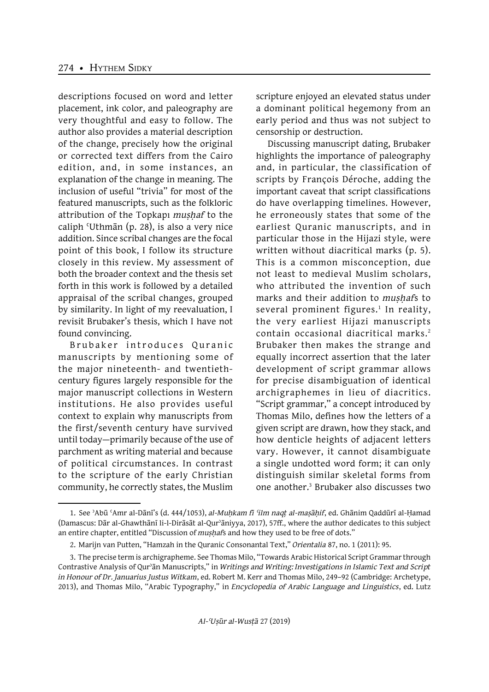descriptions focused on word and letter placement, ink color, and paleography are very thoughtful and easy to follow. The author also provides a material description of the change, precisely how the original or corrected text differs from the Cairo edition, and, in some instances, an explanation of the change in meaning. The inclusion of useful "trivia" for most of the featured manuscripts, such as the folkloric attribution of the Topkapı *muṣḥaf* to the caliph ʿUthmān (p. 28), is also a very nice addition. Since scribal changes are the focal point of this book, I follow its structure closely in this review. My assessment of both the broader context and the thesis set forth in this work is followed by a detailed appraisal of the scribal changes, grouped by similarity. In light of my reevaluation, I revisit Brubaker's thesis, which I have not found convincing.

Brubaker introduces Quranic manuscripts by mentioning some of the major nineteenth- and twentiethcentury figures largely responsible for the major manuscript collections in Western institutions. He also provides useful context to explain why manuscripts from the first/seventh century have survived until today—primarily because of the use of parchment as writing material and because of political circumstances. In contrast to the scripture of the early Christian community, he correctly states, the Muslim scripture enjoyed an elevated status under a dominant political hegemony from an early period and thus was not subject to censorship or destruction.

Discussing manuscript dating, Brubaker highlights the importance of paleography and, in particular, the classification of scripts by François Déroche, adding the important caveat that script classifications do have overlapping timelines. However, he erroneously states that some of the earliest Quranic manuscripts, and in particular those in the Hijazi style, were written without diacritical marks (p. 5). This is a common misconception, due not least to medieval Muslim scholars, who attributed the invention of such marks and their addition to *muṣḥaf*s to several prominent figures.<sup>1</sup> In reality, the very earliest Hijazi manuscripts contain occasional diacritical marks.<sup>2</sup> Brubaker then makes the strange and equally incorrect assertion that the later development of script grammar allows for precise disambiguation of identical archigraphemes in lieu of diacritics. "Script grammar," a concept introduced by Thomas Milo, defines how the letters of a given script are drawn, how they stack, and how denticle heights of adjacent letters vary. However, it cannot disambiguate a single undotted word form; it can only distinguish similar skeletal forms from one another.3 Brubaker also discusses two

<sup>1.</sup> See ʾAbū ʿAmr al-Dānī's (d. 444/1053), *al-Muḥkam fī ʿilm naqṭ al-maṣāḥif*, ed. Ghānim Qaddūrī al-Ḥamad (Damascus: Dār al-Ghawthānī li-l-Dirāsāt al-Qurʾāniyya, 2017), 57ff., where the author dedicates to this subject an entire chapter, entitled "Discussion of *muṣḥaf*s and how they used to be free of dots."

<sup>2.</sup> Marijn van Putten, "Hamzah in the Quranic Consonantal Text," *Orientalia* 87, no. 1 (2011): 95.

<sup>3.</sup> The precise term is archigrapheme. See Thomas Milo, "Towards Arabic Historical Script Grammar through Contrastive Analysis of Qurʾān Manuscripts," in *Writings and Writing: Investigations in Islamic Text and Script in Honour of Dr. Januarius Justus Witkam*, ed. Robert M. Kerr and Thomas Milo, 249–92 (Cambridge: Archetype, 2013), and Thomas Milo, "Arabic Typography," in *Encyclopedia of Arabic Language and Linguistics*, ed. Lutz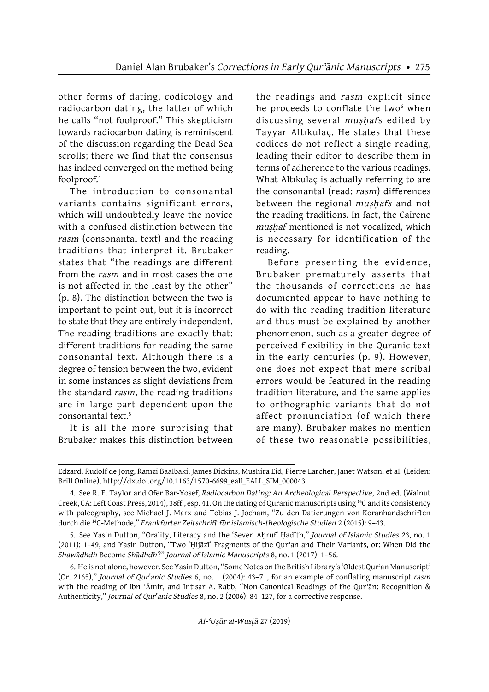other forms of dating, codicology and radiocarbon dating, the latter of which he calls "not foolproof." This skepticism towards radiocarbon dating is reminiscent of the discussion regarding the Dead Sea scrolls; there we find that the consensus has indeed converged on the method being foolproof.4

The introduction to consonantal variants contains significant errors, which will undoubtedly leave the novice with a confused distinction between the *rasm* (consonantal text) and the reading traditions that interpret it. Brubaker states that "the readings are different from the *rasm* and in most cases the one is not affected in the least by the other" (p. 8). The distinction between the two is important to point out, but it is incorrect to state that they are entirely independent. The reading traditions are exactly that: different traditions for reading the same consonantal text. Although there is a degree of tension between the two, evident in some instances as slight deviations from the standard *rasm*, the reading traditions are in large part dependent upon the consonantal text.<sup>5</sup>

It is all the more surprising that Brubaker makes this distinction between the readings and *rasm* explicit since he proceeds to conflate the two<sup>6</sup> when discussing several *muṣḥaf*s edited by Tayyar Altıkulaç. He states that these codices do not reflect a single reading, leading their editor to describe them in terms of adherence to the various readings. What Altıkulaç is actually referring to are the consonantal (read: *rasm*) differences between the regional *muṣḥafs* and not the reading traditions. In fact, the Cairene *muṣḥaf* mentioned is not vocalized, which is necessary for identification of the reading.

Before presenting the evidence, Brubaker prematurely asserts that the thousands of corrections he has documented appear to have nothing to do with the reading tradition literature and thus must be explained by another phenomenon, such as a greater degree of perceived flexibility in the Quranic text in the early centuries (p. 9). However, one does not expect that mere scribal errors would be featured in the reading tradition literature, and the same applies to orthographic variants that do not affect pronunciation (of which there are many). Brubaker makes no mention of these two reasonable possibilities,

Edzard, Rudolf de Jong, Ramzi Baalbaki, James Dickins, Mushira Eid, Pierre Larcher, Janet Watson, et al. (Leiden: Brill Online), [http://dx.doi.org/10.1163/1570-6699\\_eall\\_EALL\\_SIM\\_000043](http://dx.doi.org/10.1163/1570-6699_eall_EALL_SIM_000043).

<sup>4.</sup> See R. E. Taylor and Ofer Bar-Yosef, *Radiocarbon Dating: An Archeological Perspective*, 2nd ed. (Walnut Creek, CA: Left Coast Press, 2014), 38ff., esp. 41. On the dating of Quranic manuscripts using 14C and its consistency with paleography, see Michael J. Marx and Tobias J. Jocham, "Zu den Datierungen von Koranhandschriften durch die 14C-Methode," *Frankfurter Zeitschrift für islamisch-theologische Studien* 2 (2015): 9–43.

<sup>5.</sup> See Yasin Dutton, "Orality, Literacy and the 'Seven Aḥruf' Ḥadīth," *Journal of Islamic Studies* 23, no. 1 (2011): 1–49, and Yasin Dutton, "Two 'Ḥijāzī' Fragments of the Qurʾan and Their Variants, or: When Did the *Shawādhdh* Become *Shādhdh*?" *Journal of Islamic Manuscripts* 8, no. 1 (2017): 1–56.

<sup>6.</sup> He is not alone, however. See Yasin Dutton, "Some Notes on the British Library's 'Oldest Qurʾan Manuscript' (Or. 2165)," *Journal of Qur'anic Studies* 6, no. 1 (2004): 43–71, for an example of conflating manuscript *rasm* with the reading of Ibn 'Āmir, and Intisar A. Rabb, "Non-Canonical Readings of the Qur'ān: Recognition & Authenticity," *Journal of Qur'anic Studies* 8, no. 2 (2006): 84–127, for a corrective response.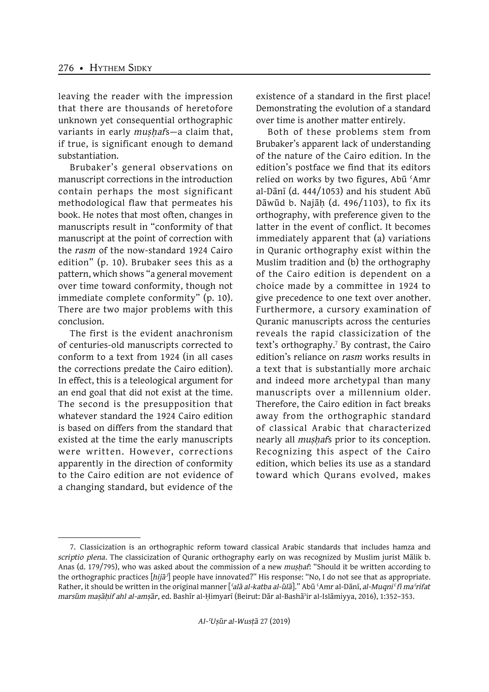leaving the reader with the impression that there are thousands of heretofore unknown yet consequential orthographic variants in early *muṣḥaf*s—a claim that, if true, is significant enough to demand substantiation.

Brubaker's general observations on manuscript corrections in the introduction contain perhaps the most significant methodological flaw that permeates his book. He notes that most often, changes in manuscripts result in "conformity of that manuscript at the point of correction with the *rasm* of the now-standard 1924 Cairo edition" (p. 10). Brubaker sees this as a pattern, which shows "a general movement over time toward conformity, though not immediate complete conformity" (p. 10). There are two major problems with this conclusion.

The first is the evident anachronism of centuries-old manuscripts corrected to conform to a text from 1924 (in all cases the corrections predate the Cairo edition). In effect, this is a teleological argument for an end goal that did not exist at the time. The second is the presupposition that whatever standard the 1924 Cairo edition is based on differs from the standard that existed at the time the early manuscripts were written. However, corrections apparently in the direction of conformity to the Cairo edition are not evidence of a changing standard, but evidence of the existence of a standard in the first place! Demonstrating the evolution of a standard over time is another matter entirely.

Both of these problems stem from Brubaker's apparent lack of understanding of the nature of the Cairo edition. In the edition's postface we find that its editors relied on works by two figures, Abū ʿAmr al-Dānī (d. 444/1053) and his student Abū Dāwūd b. Najāḥ (d. 496/1103), to fix its orthography, with preference given to the latter in the event of conflict. It becomes immediately apparent that (a) variations in Quranic orthography exist within the Muslim tradition and (b) the orthography of the Cairo edition is dependent on a choice made by a committee in 1924 to give precedence to one text over another. Furthermore, a cursory examination of Quranic manuscripts across the centuries reveals the rapid classicization of the text's orthography.<sup>7</sup> By contrast, the Cairo edition's reliance on *rasm* works results in a text that is substantially more archaic and indeed more archetypal than many manuscripts over a millennium older. Therefore, the Cairo edition in fact breaks away from the orthographic standard of classical Arabic that characterized nearly all *muṣḥaf*s prior to its conception. Recognizing this aspect of the Cairo edition, which belies its use as a standard toward which Qurans evolved, makes

<sup>7.</sup> Classicization is an orthographic reform toward classical Arabic standards that includes hamza and *scriptio plena*. The classicization of Quranic orthography early on was recognized by Muslim jurist Mālik b. Anas (d. 179/795), who was asked about the commission of a new *muṣḥaf*: "Should it be written according to the orthographic practices [*hijāʾ*] people have innovated?" His response: "No, I do not see that as appropriate. Rather, it should be written in the original manner [*ʿalā al-katba al-ūlā*]." Abū ʿAmr al-Dānī, *al-Muqniʿ fī maʿrifat marsūm maṣāḥif ahl al-amṣār*, ed. Bashīr al-Ḥimyarī (Beirut: Dār al-Bashāʾir al-Islāmiyya, 2016), 1:352–353.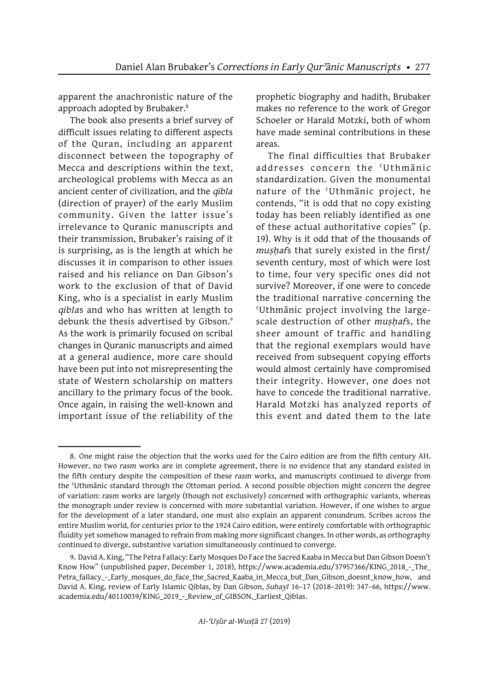apparent the anachronistic nature of the approach adopted by Brubaker.8

The book also presents a brief survey of difficult issues relating to different aspects of the Quran, including an apparent disconnect between the topography of Mecca and descriptions within the text, archeological problems with Mecca as an ancient center of civilization, and the *qibla* (direction of prayer) of the early Muslim community. Given the latter issue's irrelevance to Quranic manuscripts and their transmission, Brubaker's raising of it is surprising, as is the length at which he discusses it in comparison to other issues raised and his reliance on Dan Gibson's work to the exclusion of that of David King, who is a specialist in early Muslim *qibla*s and who has written at length to debunk the thesis advertised by Gibson.<sup>9</sup> As the work is primarily focused on scribal changes in Quranic manuscripts and aimed at a general audience, more care should have been put into not misrepresenting the state of Western scholarship on matters ancillary to the primary focus of the book. Once again, in raising the well-known and important issue of the reliability of the prophetic biography and hadith, Brubaker makes no reference to the work of Gregor Schoeler or Harald Motzki, both of whom have made seminal contributions in these areas.

The final difficulties that Brubaker addresses concern the ʿUthmānic standardization. Given the monumental nature of the ʿUthmānic project, he contends, "it is odd that no copy existing today has been reliably identified as one of these actual authoritative copies" (p. 19). Why is it odd that of the thousands of *muṣḥaf*s that surely existed in the first/ seventh century, most of which were lost to time, four very specific ones did not survive? Moreover, if one were to concede the traditional narrative concerning the ʿUthmānic project involving the largescale destruction of other *muṣḥaf*s, the sheer amount of traffic and handling that the regional exemplars would have received from subsequent copying efforts would almost certainly have compromised their integrity. However, one does not have to concede the traditional narrative. Harald Motzki has analyzed reports of this event and dated them to the late

<sup>8.</sup> One might raise the objection that the works used for the Cairo edition are from the fifth century AH. However, no two *rasm* works are in complete agreement, there is no evidence that any standard existed in the fifth century despite the composition of these *rasm* works, and manuscripts continued to diverge from the ʿUthmānic standard through the Ottoman period. A second possible objection might concern the degree of variation: *rasm* works are largely (though not exclusively) concerned with orthographic variants, whereas the monograph under review is concerned with more substantial variation. However, if one wishes to argue for the development of a later standard, one must also explain an apparent conundrum. Scribes across the entire Muslim world, for centuries prior to the 1924 Cairo edition, were entirely comfortable with orthographic fluidity yet somehow managed to refrain from making more significant changes. In other words, as orthography continued to diverge, substantive variation simultaneously continued to converge.

<sup>9.</sup> David A. King, "The Petra Fallacy: Early Mosques Do Face the Sacred Kaaba in Mecca but Dan Gibson Doesn't Know How" (unpublished paper, December 1, 2018), [https://www.academia.edu/37957366/KING\\_2018\\_-\\_The\\_](https://www.academia.edu/37957366/KING_2018_-_The_Petra_fallacy_-_Early_mosques_do_face_the_Sacred_Kaaba_in_Mecca_but_Dan_Gibson_doesnt_know_how) [Petra\\_fallacy\\_-\\_Early\\_mosques\\_do\\_face\\_the\\_Sacred\\_Kaaba\\_in\\_Mecca\\_but\\_Dan\\_Gibson\\_doesnt\\_know\\_how](https://www.academia.edu/37957366/KING_2018_-_The_Petra_fallacy_-_Early_mosques_do_face_the_Sacred_Kaaba_in_Mecca_but_Dan_Gibson_doesnt_know_how), and David A. King, review of Early Islamic Qiblas, by Dan Gibson, *Suhayl* 16–17 (2018–2019): 347–66, [https://www.](https://www.academia.edu/40110039/KING_2019_-_Review_of_GIBSON._Earliest_Qiblas) academia.edu/40110039/KING\_2019\_-\_ Review\_of\_GIBSON.\_Earliest\_Qiblas.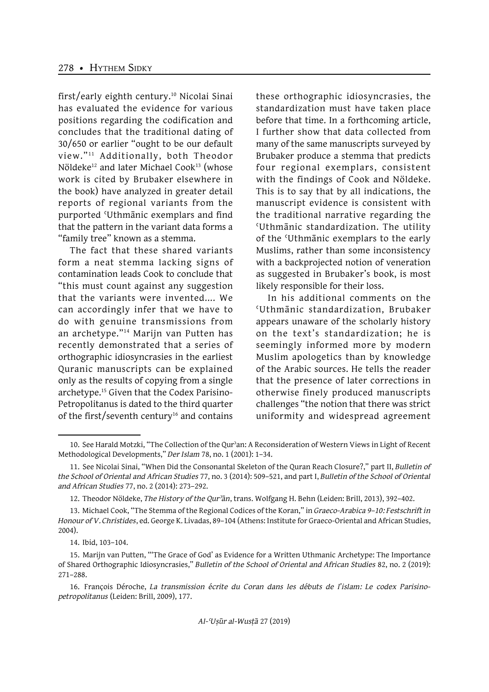first/early eighth century.10 Nicolai Sinai has evaluated the evidence for various positions regarding the codification and concludes that the traditional dating of 30/650 or earlier "ought to be our default view."<sup>11</sup> Additionally, both Theodor Nöldeke<sup>12</sup> and later Michael Cook<sup>13</sup> (whose work is cited by Brubaker elsewhere in the book) have analyzed in greater detail reports of regional variants from the purported ʿUthmānic exemplars and find that the pattern in the variant data forms a "family tree" known as a stemma.

The fact that these shared variants form a neat stemma lacking signs of contamination leads Cook to conclude that "this must count against any suggestion that the variants were invented.... We can accordingly infer that we have to do with genuine transmissions from an archetype."14 Marijn van Putten has recently demonstrated that a series of orthographic idiosyncrasies in the earliest Quranic manuscripts can be explained only as the results of copying from a single archetype.15 Given that the Codex Parisino-Petropolitanus is dated to the third quarter of the first/seventh century<sup>16</sup> and contains these orthographic idiosyncrasies, the standardization must have taken place before that time. In a forthcoming article, I further show that data collected from many of the same manuscripts surveyed by Brubaker produce a stemma that predicts four regional exemplars, consistent with the findings of Cook and Nöldeke. This is to say that by all indications, the manuscript evidence is consistent with the traditional narrative regarding the ʿUthmānic standardization. The utility of the ʿUthmānic exemplars to the early Muslims, rather than some inconsistency with a backprojected notion of veneration as suggested in Brubaker's book, is most likely responsible for their loss.

In his additional comments on the ʿUthmānic standardization, Brubaker appears unaware of the scholarly history on the text's standardization; he is seemingly informed more by modern Muslim apologetics than by knowledge of the Arabic sources. He tells the reader that the presence of later corrections in otherwise finely produced manuscripts challenges "the notion that there was strict uniformity and widespread agreement

14. Ibid, 103–104.

<sup>10.</sup> See Harald Motzki, "The Collection of the Qurʾan: A Reconsideration of Western Views in Light of Recent Methodological Developments," *Der Islam* 78, no. 1 (2001): 1–34.

<sup>11.</sup> See Nicolai Sinai, "When Did the Consonantal Skeleton of the Quran Reach Closure?," part II, *Bulletin of the School of Oriental and African Studies* 77, no. 3 (2014): 509–521, and part I, *Bulletin of the School of Oriental and African Studies* 77, no. 2 (2014): 273–292.

<sup>12.</sup> Theodor Nöldeke, *The History of the Qurʾān*, trans. Wolfgang H. Behn (Leiden: Brill, 2013), 392–402.

<sup>13.</sup> Michael Cook, "The Stemma of the Regional Codices of the Koran," in *Graeco-Arabica 9–10: Festschrift in Honour of V. Christides*, ed. George K. Livadas, 89–104 (Athens: Institute for Graeco-Oriental and African Studies, 2004).

<sup>15.</sup> Marijn van Putten, "'The Grace of God' as Evidence for a Written Uthmanic Archetype: The Importance of Shared Orthographic Idiosyncrasies," *Bulletin of the School of Oriental and African Studies* 82, no. 2 (2019): 271–288.

<sup>16.</sup> François Déroche, *La transmission écrite du Coran dans les débuts de l'islam: Le codex Parisinopetropolitanus* (Leiden: Brill, 2009), 177.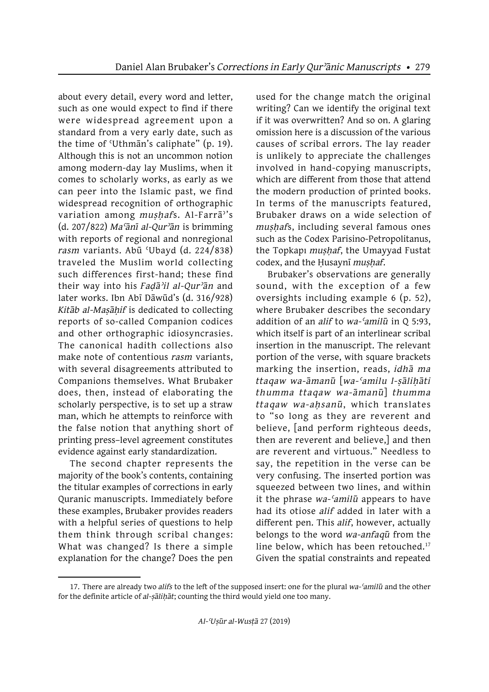about every detail, every word and letter, such as one would expect to find if there were widespread agreement upon a standard from a very early date, such as the time of ʿUthmān's caliphate" (p. 19). Although this is not an uncommon notion among modern-day lay Muslims, when it comes to scholarly works, as early as we can peer into the Islamic past, we find widespread recognition of orthographic variation among *muṣḥaf*s. Al-Farrāʾ's (d. 207/822) *Maʿānī al-Qurʾān* is brimming with reports of regional and nonregional *rasm* variants. Abū ʿUbayd (d. 224/838) traveled the Muslim world collecting such differences first-hand; these find their way into his *Faḍāʾil al-Qurʾān* and later works. Ibn Abī Dāwūd's (d. 316/928) *Kitāb al-Maṣāḥif* is dedicated to collecting reports of so-called Companion codices and other orthographic idiosyncrasies. The canonical hadith collections also make note of contentious *rasm* variants, with several disagreements attributed to Companions themselves. What Brubaker does, then, instead of elaborating the scholarly perspective, is to set up a straw man, which he attempts to reinforce with the false notion that anything short of printing press–level agreement constitutes evidence against early standardization.

The second chapter represents the majority of the book's contents, containing the titular examples of corrections in early Quranic manuscripts. Immediately before these examples, Brubaker provides readers with a helpful series of questions to help them think through scribal changes: What was changed? Is there a simple explanation for the change? Does the pen used for the change match the original writing? Can we identify the original text if it was overwritten? And so on. A glaring omission here is a discussion of the various causes of scribal errors. The lay reader is unlikely to appreciate the challenges involved in hand-copying manuscripts, which are different from those that attend the modern production of printed books. In terms of the manuscripts featured, Brubaker draws on a wide selection of *muṣḥaf*s, including several famous ones such as the Codex Parisino-Petropolitanus, the Topkapı *muṣḥaf*, the Umayyad Fustat codex, and the Ḥusaynī *muṣḥaf*.

Brubaker's observations are generally sound, with the exception of a few oversights including example 6 (p. 52), where Brubaker describes the secondary addition of an *alif* to *wa-ʿamilū* in Q 5:93, which itself is part of an interlinear scribal insertion in the manuscript. The relevant portion of the verse, with square brackets marking the insertion, reads, *idhā ma ttaqaw wa-āmanū* [*wa-ʿamilu l-ṣāliḥāti thumma ttaqaw wa-āmanū*] *thumma ttaqaw wa-aḥsanū*, which translates to "so long as they are reverent and believe, [and perform righteous deeds, then are reverent and believe,] and then are reverent and virtuous." Needless to say, the repetition in the verse can be very confusing. The inserted portion was squeezed between two lines, and within it the phrase *wa-ʿamilū* appears to have had its otiose *alif* added in later with a different pen. This *alif*, however, actually belongs to the word *wa-anfaqū* from the line below, which has been retouched.<sup>17</sup> Given the spatial constraints and repeated

<sup>17.</sup> There are already two *alifs* to the left of the supposed insert: one for the plural *wa-ʿamilū* and the other for the definite article of *al-ṣāliḥāt*; counting the third would yield one too many.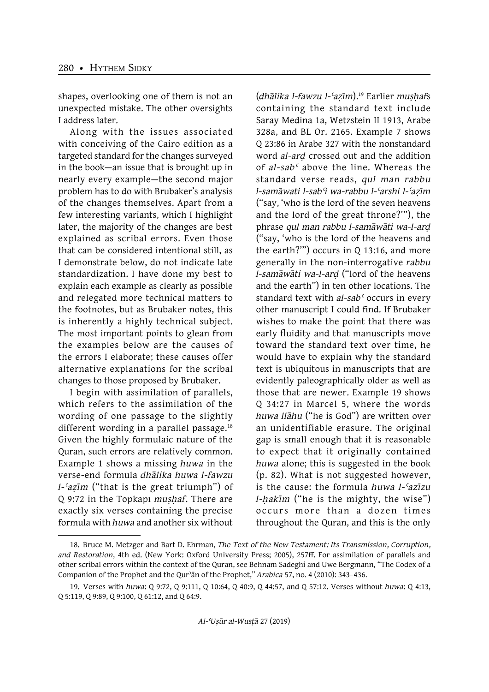shapes, overlooking one of them is not an unexpected mistake. The other oversights I address later.

Along with the issues associated with conceiving of the Cairo edition as a targeted standard for the changes surveyed in the book—an issue that is brought up in nearly every example—the second major problem has to do with Brubaker's analysis of the changes themselves. Apart from a few interesting variants, which I highlight later, the majority of the changes are best explained as scribal errors. Even those that can be considered intentional still, as I demonstrate below, do not indicate late standardization. I have done my best to explain each example as clearly as possible and relegated more technical matters to the footnotes, but as Brubaker notes, this is inherently a highly technical subject. The most important points to glean from the examples below are the causes of the errors I elaborate; these causes offer alternative explanations for the scribal changes to those proposed by Brubaker.

I begin with assimilation of parallels, which refers to the assimilation of the wording of one passage to the slightly different wording in a parallel passage. $18$ Given the highly formulaic nature of the Quran, such errors are relatively common. Example 1 shows a missing *huwa* in the verse-end formula *dhālika huwa l-fawzu l-ʿaẓīm* ("that is the great triumph") of Q 9:72 in the Topkapı *muṣḥaf*. There are exactly six verses containing the precise formula with *huwa* and another six without (*dhālika l-fawzu l-ʿaẓīm*).19 Earlier *muṣḥaf*s containing the standard text include Saray Medina 1a, Wetzstein II 1913, Arabe 328a, and BL Or. 2165. Example 7 shows Q 23:86 in Arabe 327 with the nonstandard word *al-arḍ* crossed out and the addition of *al-sabʿ* above the line. Whereas the standard verse reads, *qul man rabbu l-samāwati l-sabʿi wa-rabbu l-ʿarshi l-ʿaẓīm* ("say, 'who is the lord of the seven heavens and the lord of the great throne?'"), the phrase *qul man rabbu l-samāwāti wa-l-arḍ*  ("say, 'who is the lord of the heavens and the earth?'") occurs in Q 13:16, and more generally in the non-interrogative *rabbu l-samāwāti wa-l-arḍ* ("lord of the heavens and the earth") in ten other locations. The standard text with *al-sabʿ* occurs in every other manuscript I could find. If Brubaker wishes to make the point that there was early fluidity and that manuscripts move toward the standard text over time, he would have to explain why the standard text is ubiquitous in manuscripts that are evidently paleographically older as well as those that are newer. Example 19 shows Q 34:27 in Marcel 5, where the words *huwa llāhu* ("he is God") are written over an unidentifiable erasure. The original gap is small enough that it is reasonable to expect that it originally contained *huwa* alone; this is suggested in the book (p. 82). What is not suggested however, is the cause: the formula *huwa l-ʿazīzu l-ḥakīm* ("he is the mighty, the wise") occurs more than a dozen times throughout the Quran, and this is the only

<sup>18.</sup> Bruce M. Metzger and Bart D. Ehrman, *The Text of the New Testament: Its Transmission, Corruption, and Restoration*, 4th ed. (New York: Oxford University Press; 2005), 257ff. For assimilation of parallels and other scribal errors within the context of the Quran, see Behnam Sadeghi and Uwe Bergmann, "The Codex of a Companion of the Prophet and the Qurʾān of the Prophet," *Arabica* 57, no. 4 (2010): 343–436.

<sup>19.</sup> Verses with *huwa*: Q 9:72, Q 9:111, Q 10:64, Q 40:9, Q 44:57, and Q 57:12. Verses without *huwa*: Q 4:13, Q 5:119, Q 9:89, Q 9:100, Q 61:12, and Q 64:9.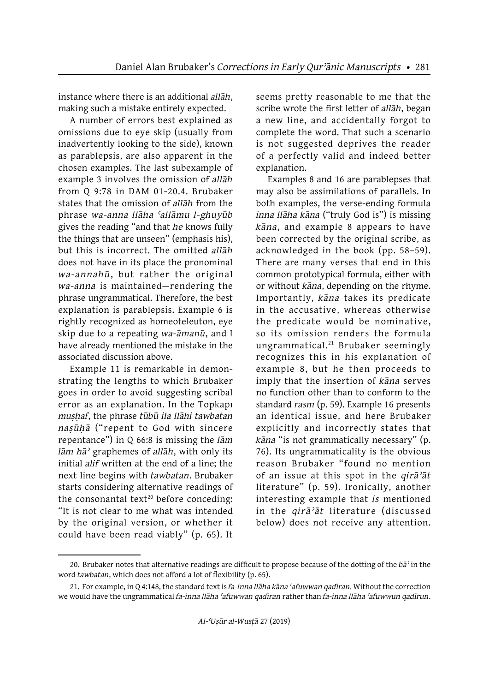instance where there is an additional *allāh*, making such a mistake entirely expected.

A number of errors best explained as omissions due to eye skip (usually from inadvertently looking to the side), known as parablepsis, are also apparent in the chosen examples. The last subexample of example 3 involves the omission of *allāh* from Q 9:78 in DAM 01-20.4. Brubaker states that the omission of *allāh* from the phrase *wa-anna llāha ʿallāmu l-ghuyūb*  gives the reading "and that *he* knows fully the things that are unseen" (emphasis his), but this is incorrect. The omitted *allāh* does not have in its place the pronominal *wa-annahū*, but rather the original *wa-anna* is maintained—rendering the phrase ungrammatical. Therefore, the best explanation is parablepsis. Example 6 is rightly recognized as homeoteleuton, eye skip due to a repeating *wa-āmanū*, and I have already mentioned the mistake in the associated discussion above.

Example 11 is remarkable in demonstrating the lengths to which Brubaker goes in order to avoid suggesting scribal error as an explanation. In the Topkapı *muṣḥaf*, the phrase *tūbū ila llāhi tawbatan naṣūḥā* ("repent to God with sincere repentance") in Q 66:8 is missing the *lām lām hāʾ* graphemes of *allāh*, with only its initial *alif* written at the end of a line; the next line begins with *tawbatan*. Brubaker starts considering alternative readings of the consonantal text<sup>20</sup> before conceding: "It is not clear to me what was intended by the original version, or whether it could have been read viably" (p. 65). It seems pretty reasonable to me that the scribe wrote the first letter of *allāh*, began a new line, and accidentally forgot to complete the word. That such a scenario is not suggested deprives the reader of a perfectly valid and indeed better explanation.

Examples 8 and 16 are parablepses that may also be assimilations of parallels. In both examples, the verse-ending formula *inna llāha kāna* ("truly God is") is missing *kāna*, and example 8 appears to have been corrected by the original scribe, as acknowledged in the book (pp. 58–59). There are many verses that end in this common prototypical formula, either with or without *kāna*, depending on the rhyme. Importantly, *kāna* takes its predicate in the accusative, whereas otherwise the predicate would be nominative, so its omission renders the formula ungrammatical. $21$  Brubaker seemingly recognizes this in his explanation of example 8, but he then proceeds to imply that the insertion of *kāna* serves no function other than to conform to the standard *rasm* (p. 59). Example 16 presents an identical issue, and here Brubaker explicitly and incorrectly states that *kāna* "is not grammatically necessary" (p. 76). Its ungrammaticality is the obvious reason Brubaker "found no mention of an issue at this spot in the *qirāʾāt*  literature" (p. 59). Ironically, another interesting example that *is* mentioned in the *qirāʾāt* literature (discussed below) does not receive any attention.

<sup>20.</sup> Brubaker notes that alternative readings are difficult to propose because of the dotting of the *bāʾ* in the word *tawbatan*, which does not afford a lot of flexibility (p. 65).

<sup>21.</sup> For example, in Q 4:148, the standard text is *fa-inna llāha kāna ʿafuwwan qadīran*. Without the correction we would have the ungrammatical *fa-inna llāha ʿafuwwan qadīran* rather than *fa-inna llāha ʿafuwwun qadīrun*.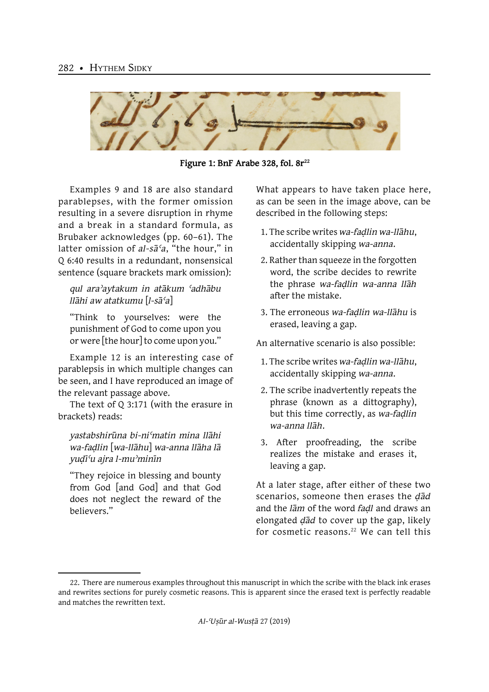

**Figure 1: BnF Arabe 328, fol. 8r**<sup>22</sup>

Examples 9 and 18 are also standard parablepses, with the former omission resulting in a severe disruption in rhyme and a break in a standard formula, as Brubaker acknowledges (pp. 60–61). The latter omission of *al-sāʿa*, "the hour," in Q 6:40 results in a redundant, nonsensical sentence (square brackets mark omission):

*qul araʾaytakum in atākum ʿadhābu llāhi aw atatkumu* [*l-sāʿa*]

"Think to yourselves: were the punishment of God to come upon you or were [the hour] to come upon you."

Example 12 is an interesting case of parablepsis in which multiple changes can be seen, and I have reproduced an image of the relevant passage above.

The text of Q 3:171 (with the erasure in brackets) reads:

*yastabshirūna bi-niʿmatin mina llāhi wa-faḍlin* [*wa-llāhu*] *wa-anna llāha lā yuḍīʿu ajra l-muʾminīn*

"They rejoice in blessing and bounty from God [and God] and that God does not neglect the reward of the believers."

What appears to have taken place here, as can be seen in the image above, can be described in the following steps:

- 1. The scribe writes *wa-faḍlin wa-llāhu*, accidentally skipping *wa-anna*.
- 2. Rather than squeeze in the forgotten word, the scribe decides to rewrite the phrase *wa-faḍlin wa-anna llāh*  after the mistake.
- 3. The erroneous *wa-faḍlin wa-llāhu* is erased, leaving a gap.

An alternative scenario is also possible:

- 1. The scribe writes *wa-faḍlin wa-llāhu*, accidentally skipping *wa-anna*.
- 2. The scribe inadvertently repeats the phrase (known as a dittography), but this time correctly, as *wa-faḍlin wa-anna llāh*.
- 3. After proofreading, the scribe realizes the mistake and erases it, leaving a gap.

At a later stage, after either of these two scenarios, someone then erases the *ḍād* and the *lām* of the word *faḍl* and draws an elongated *ḍād* to cover up the gap, likely for cosmetic reasons.<sup>22</sup> We can tell this

<sup>22.</sup> There are numerous examples throughout this manuscript in which the scribe with the black ink erases and rewrites sections for purely cosmetic reasons. This is apparent since the erased text is perfectly readable and matches the rewritten text.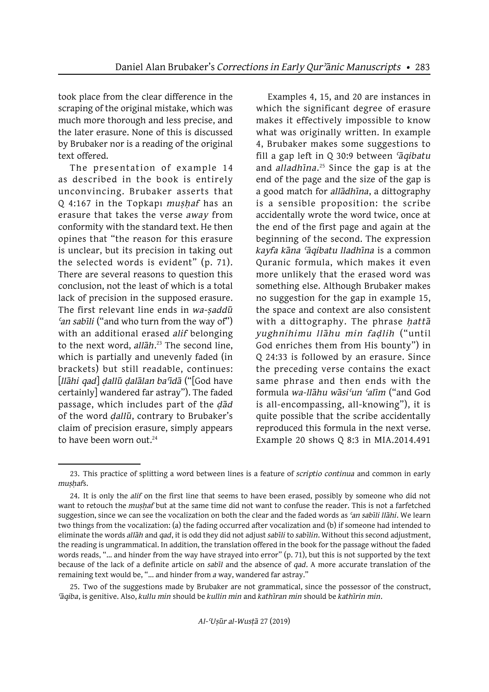took place from the clear difference in the scraping of the original mistake, which was much more thorough and less precise, and the later erasure. None of this is discussed by Brubaker nor is a reading of the original text offered.

The presentation of example 14 as described in the book is entirely unconvincing. Brubaker asserts that Q 4:167 in the Topkapı *muṣḥaf* has an erasure that takes the verse *away* from conformity with the standard text. He then opines that "the reason for this erasure is unclear, but its precision in taking out the selected words is evident" (p. 71). There are several reasons to question this conclusion, not the least of which is a total lack of precision in the supposed erasure. The first relevant line ends in *wa-ṣaddū ʿan sabīli* ("and who turn from the way of") with an additional erased *alif* belonging to the next word, *allāh*. 23 The second line, which is partially and unevenly faded (in brackets) but still readable, continues: [*llāhi qad*] *ḍallū ḍalālan baʿīdā* ("[God have certainly] wandered far astray"). The faded passage, which includes part of the *ḍād* of the word *ḍallū*, contrary to Brubaker's claim of precision erasure, simply appears to have been worn out.<sup>24</sup>

Examples 4, 15, and 20 are instances in which the significant degree of erasure makes it effectively impossible to know what was originally written. In example 4, Brubaker makes some suggestions to fill a gap left in Q 30:9 between *ʿāqibatu* and *alladhīna*. <sup>25</sup> Since the gap is at the end of the page and the size of the gap is a good match for *allādhīna*, a dittography is a sensible proposition: the scribe accidentally wrote the word twice, once at the end of the first page and again at the beginning of the second. The expression *kayfa kāna ʿāqibatu lladhīna* is a common Quranic formula, which makes it even more unlikely that the erased word was something else. Although Brubaker makes no suggestion for the gap in example 15, the space and context are also consistent with a dittography. The phrase *hatta yughnihimu llāhu min faḍlih* ("until God enriches them from His bounty") in Q 24:33 is followed by an erasure. Since the preceding verse contains the exact same phrase and then ends with the formula *wa-llāhu wāsiʿun ʿalīm* ("and God is all-encompassing, all-knowing"), it is quite possible that the scribe accidentally reproduced this formula in the next verse. Example 20 shows Q 8:3 in MIA.2014.491

<sup>23.</sup> This practice of splitting a word between lines is a feature of *scriptio continua* and common in early *muṣḥaf*s.

<sup>24.</sup> It is only the *alif* on the first line that seems to have been erased, possibly by someone who did not want to retouch the *muṣḥaf* but at the same time did not want to confuse the reader. This is not a farfetched suggestion, since we can see the vocalization on both the clear and the faded words as *ʿan sabīli llāhi*. We learn two things from the vocalization: (a) the fading occurred after vocalization and (b) if someone had intended to eliminate the words *allāh* and *qad*, it is odd they did not adjust *sabīli* to *sabīlin*. Without this second adjustment, the reading is ungrammatical. In addition, the translation offered in the book for the passage without the faded words reads, "... and hinder from the way have strayed into error" (p. 71), but this is not supported by the text because of the lack of a definite article on *sabīl* and the absence of *qad*. A more accurate translation of the remaining text would be, "... and hinder from *a* way, wandered far astray."

<sup>25.</sup> Two of the suggestions made by Brubaker are not grammatical, since the possessor of the construct, *ʿāqiba*, is genitive. Also, *kullu min* should be *kullin min* and *kathīran min* should be *kathīrin min*.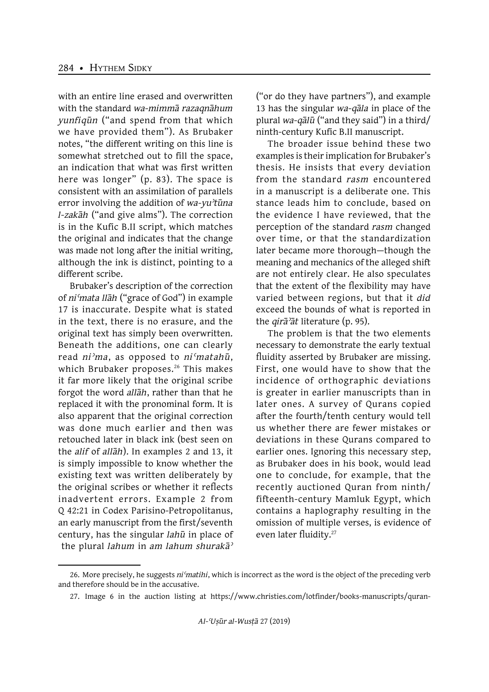with an entire line erased and overwritten with the standard *wa-mimmā razaqnāhum yunfiqūn* ("and spend from that which we have provided them"). As Brubaker notes, "the different writing on this line is somewhat stretched out to fill the space, an indication that what was first written here was longer" (p. 83). The space is consistent with an assimilation of parallels error involving the addition of *wa-yuʾtūna l-zakāh* ("and give alms"). The correction is in the Kufic B.II script, which matches the original and indicates that the change was made not long after the initial writing, although the ink is distinct, pointing to a different scribe.

Brubaker's description of the correction of *niʿmata llāh* ("grace of God") in example 17 is inaccurate. Despite what is stated in the text, there is no erasure, and the original text has simply been overwritten. Beneath the additions, one can clearly read *niʾma*, as opposed to *niʿmatahū*, which Brubaker proposes.<sup>26</sup> This makes it far more likely that the original scribe forgot the word *allāh*, rather than that he replaced it with the pronominal form. It is also apparent that the original correction was done much earlier and then was retouched later in black ink (best seen on the *alif* of *allāh*). In examples 2 and 13, it is simply impossible to know whether the existing text was written deliberately by the original scribes or whether it reflects inadvertent errors. Example 2 from Q 42:21 in Codex Parisino-Petropolitanus, an early manuscript from the first/seventh century, has the singular *lahū* in place of the plural *lahum* in *am lahum shurakāʾ* ("or do they have partners"), and example 13 has the singular *wa-qāla* in place of the plural *wa-qālū* ("and they said") in a third/ ninth-century Kufic B.II manuscript.

The broader issue behind these two examples is their implication for Brubaker's thesis. He insists that every deviation from the standard *rasm* encountered in a manuscript is a deliberate one. This stance leads him to conclude, based on the evidence I have reviewed, that the perception of the standard *rasm* changed over time, or that the standardization later became more thorough—though the meaning and mechanics of the alleged shift are not entirely clear. He also speculates that the extent of the flexibility may have varied between regions, but that it *did* exceed the bounds of what is reported in the *qirāʾāt* literature (p. 95).

The problem is that the two elements necessary to demonstrate the early textual fluidity asserted by Brubaker are missing. First, one would have to show that the incidence of orthographic deviations is greater in earlier manuscripts than in later ones. A survey of Qurans copied after the fourth/tenth century would tell us whether there are fewer mistakes or deviations in these Qurans compared to earlier ones. Ignoring this necessary step, as Brubaker does in his book, would lead one to conclude, for example, that the recently auctioned Quran from ninth/ fifteenth-century Mamluk Egypt, which contains a haplography resulting in the omission of multiple verses, is evidence of even later fluidity.<sup>27</sup>

<sup>26.</sup> More precisely, he suggests *niʿmatihi*, which is incorrect as the word is the object of the preceding verb and therefore should be in the accusative.

<sup>27.</sup> Image 6 in the auction listing at [https://www.christies.com/lotfinder/books-manuscripts/quran-](https://www.christies.com/lotfinder/books-manuscripts/quran-signed-tanam-al-najmi-al-maliki-al-ashrafi-mamluk-6195211-details.aspx)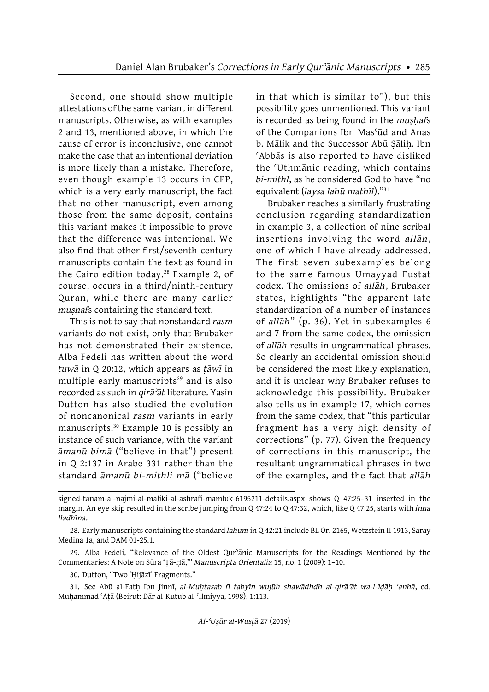Second, one should show multiple attestations of the same variant in different manuscripts. Otherwise, as with examples 2 and 13, mentioned above, in which the cause of error is inconclusive, one cannot make the case that an intentional deviation is more likely than a mistake. Therefore, even though example 13 occurs in CPP, which is a very early manuscript, the fact that no other manuscript, even among those from the same deposit, contains this variant makes it impossible to prove that the difference was intentional. We also find that other first/seventh-century manuscripts contain the text as found in the Cairo edition today.<sup>28</sup> Example 2, of course, occurs in a third/ninth-century Quran, while there are many earlier *muṣḥaf*s containing the standard text.

This is not to say that nonstandard *rasm* variants do not exist, only that Brubaker has not demonstrated their existence. Alba Fedeli has written about the word *ṭuwā* in Q 20:12, which appears as *ṭāwī* in multiple early manuscripts<sup>29</sup> and is also recorded as such in *qirāʾāt* literature. Yasin Dutton has also studied the evolution of noncanonical *rasm* variants in early manuscripts.30 Example 10 is possibly an instance of such variance, with the variant *āmanū bimā* ("believe in that") present in Q 2:137 in Arabe 331 rather than the standard *āmanū bi-mithli mā* ("believe

in that which is similar to"), but this possibility goes unmentioned. This variant is recorded as being found in the *muṣḥaf*s of the Companions Ibn Masʿūd and Anas b. Mālik and the Successor Abū Ṣāliḥ. Ibn ʿAbbās is also reported to have disliked the ʿUthmānic reading, which contains *bi-mithl*, as he considered God to have "no equivalent (*laysa lahū mathīl*)."31

Brubaker reaches a similarly frustrating conclusion regarding standardization in example 3, a collection of nine scribal insertions involving the word *allāh*, one of which I have already addressed. The first seven subexamples belong to the same famous Umayyad Fustat codex. The omissions of *allāh*, Brubaker states, highlights "the apparent late standardization of a number of instances of *allāh*" (p. 36). Yet in subexamples 6 and 7 from the same codex, the omission of *allāh* results in ungrammatical phrases. So clearly an accidental omission should be considered the most likely explanation, and it is unclear why Brubaker refuses to acknowledge this possibility. Brubaker also tells us in example 17, which comes from the same codex, that "this particular fragment has a very high density of corrections" (p. 77). Given the frequency of corrections in this manuscript, the resultant ungrammatical phrases in two of the examples, and the fact that *allāh*

30. Dutton, "Two 'Ḥijāzī' Fragments."

31. See Abū al-Fatḥ Ibn Jinnī, *al-Muḥtasab fī tabyīn wujūh shawādhdh al-qirāʾāt wa-l-īḍāḥ ʿanhā*, ed. Muḥammad ʿAṭā (Beirut: Dār al-Kutub al-ʿIlmiyya, 1998), 1:113.

[signed-tanam-al-najmi-al-maliki-al-ashrafi-mamluk-6195211-details.aspx](https://www.christies.com/lotfinder/books-manuscripts/quran-signed-tanam-al-najmi-al-maliki-al-ashrafi-mamluk-6195211-details.aspx) shows Q 47:25–31 inserted in the margin. An eye skip resulted in the scribe jumping from Q 47:24 to Q 47:32, which, like Q 47:25, starts with *inna lladhīna*.

<sup>28.</sup> Early manuscripts containing the standard *lahum* in Q 42:21 include BL Or. 2165, Wetzstein II 1913, Saray Medina 1a, and DAM 01-25.1.

<sup>29.</sup> Alba Fedeli, "Relevance of the Oldest Qurʾānic Manuscripts for the Readings Mentioned by the Commentaries: A Note on Sūra 'Ṭā-Ḥā,'" *Manuscripta Orientalia* 15, no. 1 (2009): 1–10.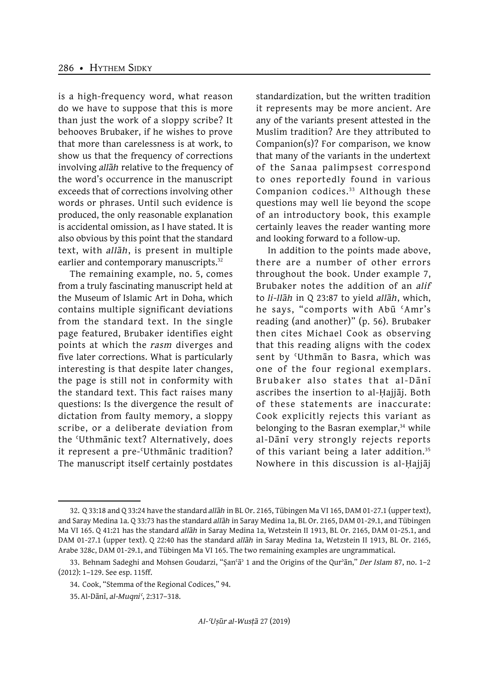is a high-frequency word, what reason do we have to suppose that this is more than just the work of a sloppy scribe? It behooves Brubaker, if he wishes to prove that more than carelessness is at work, to show us that the frequency of corrections involving *allāh* relative to the frequency of the word's occurrence in the manuscript exceeds that of corrections involving other words or phrases. Until such evidence is produced, the only reasonable explanation is accidental omission, as I have stated. It is also obvious by this point that the standard text, with *allāh*, is present in multiple earlier and contemporary manuscripts.<sup>32</sup>

The remaining example, no. 5, comes from a truly fascinating manuscript held at the Museum of Islamic Art in Doha, which contains multiple significant deviations from the standard text. In the single page featured, Brubaker identifies eight points at which the *rasm* diverges and five later corrections. What is particularly interesting is that despite later changes, the page is still not in conformity with the standard text. This fact raises many questions: Is the divergence the result of dictation from faulty memory, a sloppy scribe, or a deliberate deviation from the ʿUthmānic text? Alternatively, does it represent a pre-ʿUthmānic tradition? The manuscript itself certainly postdates

standardization, but the written tradition it represents may be more ancient. Are any of the variants present attested in the Muslim tradition? Are they attributed to Companion(s)? For comparison, we know that many of the variants in the undertext of the Sanaa palimpsest correspond to ones reportedly found in various Companion codices.33 Although these questions may well lie beyond the scope of an introductory book, this example certainly leaves the reader wanting more and looking forward to a follow-up.

In addition to the points made above, there are a number of other errors throughout the book. Under example 7, Brubaker notes the addition of an *alif* to *li-llāh* in Q 23:87 to yield *allāh*, which, he says, "comports with Abū ʿAmr's reading (and another)" (p. 56). Brubaker then cites Michael Cook as observing that this reading aligns with the codex sent by ʿUthmān to Basra, which was one of the four regional exemplars. Brubaker also states that al-Dānī ascribes the insertion to al-Ḥajjāj. Both of these statements are inaccurate: Cook explicitly rejects this variant as belonging to the Basran exemplar,<sup>34</sup> while al-Dānī very strongly rejects reports of this variant being a later addition.<sup>35</sup> Nowhere in this discussion is al-Ḥajjāj

<sup>32.</sup> Q 33:18 and Q 33:24 have the standard *allāh* in BL Or. 2165, Tübingen Ma VI 165, DAM 01-27.1 (upper text), and Saray Medina 1a. Q 33:73 has the standard *allāh* in Saray Medina 1a, BL Or. 2165, DAM 01-29.1, and Tübingen Ma VI 165. Q 41:21 has the standard *allāh* in Saray Medina 1a, Wetzstein II 1913, BL Or. 2165, DAM 01-25.1, and DAM 01-27.1 (upper text). Q 22:40 has the standard *allāh* in Saray Medina 1a, Wetzstein II 1913, BL Or. 2165, Arabe 328c, DAM 01-29.1, and Tübingen Ma VI 165. The two remaining examples are ungrammatical.

<sup>33.</sup> Behnam Sadeghi and Mohsen Goudarzi, "Ṣanʿāʾ 1 and the Origins of the Qurʾān," *Der Islam* 87, no. 1–2 (2012): 1–129. See esp. 115ff.

<sup>34.</sup> Cook, "Stemma of the Regional Codices," 94.

<sup>35.</sup>Al-Dānī, *al-Muqniʿ*, 2:317–318.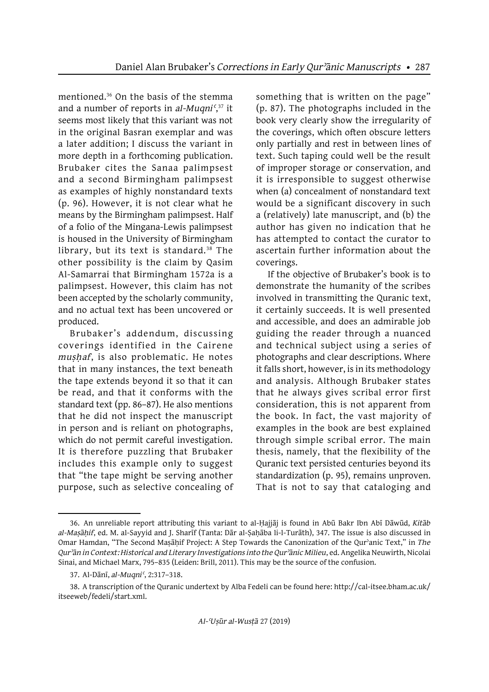mentioned.36 On the basis of the stemma and a number of reports in *al-Muqniʿ*, 37 it seems most likely that this variant was not in the original Basran exemplar and was a later addition; I discuss the variant in more depth in a forthcoming publication. Brubaker cites the Sanaa palimpsest and a second Birmingham palimpsest as examples of highly nonstandard texts (p. 96). However, it is not clear what he means by the Birmingham palimpsest. Half of a folio of the Mingana-Lewis palimpsest is housed in the University of Birmingham library, but its text is standard.<sup>38</sup> The other possibility is the claim by Qasim Al-Samarrai that Birmingham 1572a is a palimpsest. However, this claim has not been accepted by the scholarly community, and no actual text has been uncovered or produced.

Brubaker's addendum, discussing coverings identified in the Cairene *muṣḥaf*, is also problematic. He notes that in many instances, the text beneath the tape extends beyond it so that it can be read, and that it conforms with the standard text (pp. 86–87). He also mentions that he did not inspect the manuscript in person and is reliant on photographs, which do not permit careful investigation. It is therefore puzzling that Brubaker includes this example only to suggest that "the tape might be serving another purpose, such as selective concealing of something that is written on the page" (p. 87). The photographs included in the book very clearly show the irregularity of the coverings, which often obscure letters only partially and rest in between lines of text. Such taping could well be the result of improper storage or conservation, and it is irresponsible to suggest otherwise when (a) concealment of nonstandard text would be a significant discovery in such a (relatively) late manuscript, and (b) the author has given no indication that he has attempted to contact the curator to ascertain further information about the coverings.

If the objective of Brubaker's book is to demonstrate the humanity of the scribes involved in transmitting the Quranic text, it certainly succeeds. It is well presented and accessible, and does an admirable job guiding the reader through a nuanced and technical subject using a series of photographs and clear descriptions. Where it falls short, however, is in its methodology and analysis. Although Brubaker states that he always gives scribal error first consideration, this is not apparent from the book. In fact, the vast majority of examples in the book are best explained through simple scribal error. The main thesis, namely, that the flexibility of the Quranic text persisted centuries beyond its standardization (p. 95), remains unproven. That is not to say that cataloging and

<sup>36.</sup> An unreliable report attributing this variant to al-Ḥajjāj is found in Abū Bakr Ibn Abī Dāwūd, *Kitāb al-Maṣāḥif*, ed. M. al-Sayyid and J. Sharīf (Tanta: Dār al-Ṣaḥāba li-l-Turāth), 347. The issue is also discussed in Omar Hamdan, "The Second Maṣāḥif Project: A Step Towards the Canonization of the Qurʾanic Text," in *The Qurʾān in Context: Historical and Literary Investigations into the Qurʾānic Milieu*, ed. Angelika Neuwirth, Nicolai Sinai, and Michael Marx, 795–835 (Leiden: Brill, 2011). This may be the source of the confusion.

<sup>37.</sup> Al-Dānī, *al-Muqniʿ*, 2:317–318.

<sup>38.</sup> A transcription of the Quranic undertext by Alba Fedeli can be found here: [http://cal-itsee.bham.ac.uk/](http://cal-itsee.bham.ac.uk/itseeweb/fedeli/start.xml) [itseeweb/fedeli/start.xml.](http://cal-itsee.bham.ac.uk/itseeweb/fedeli/start.xml)